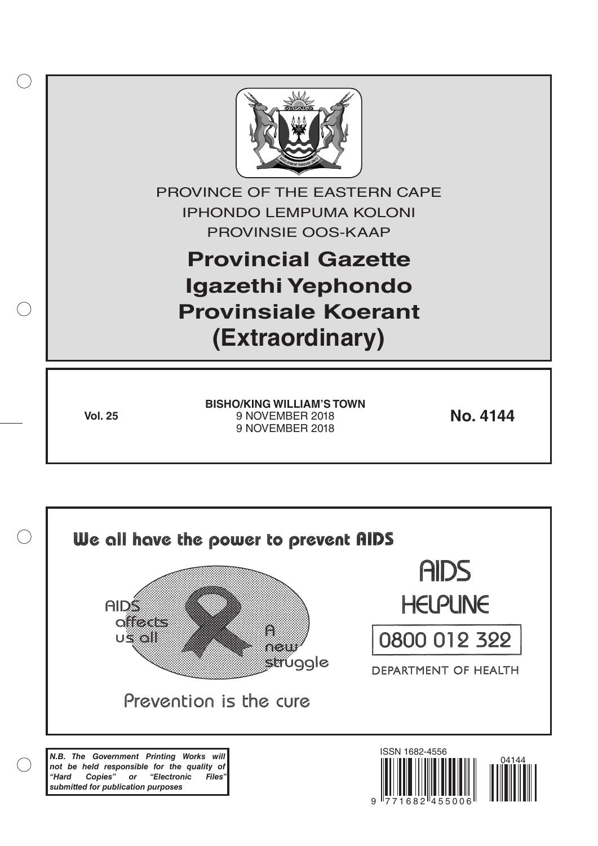

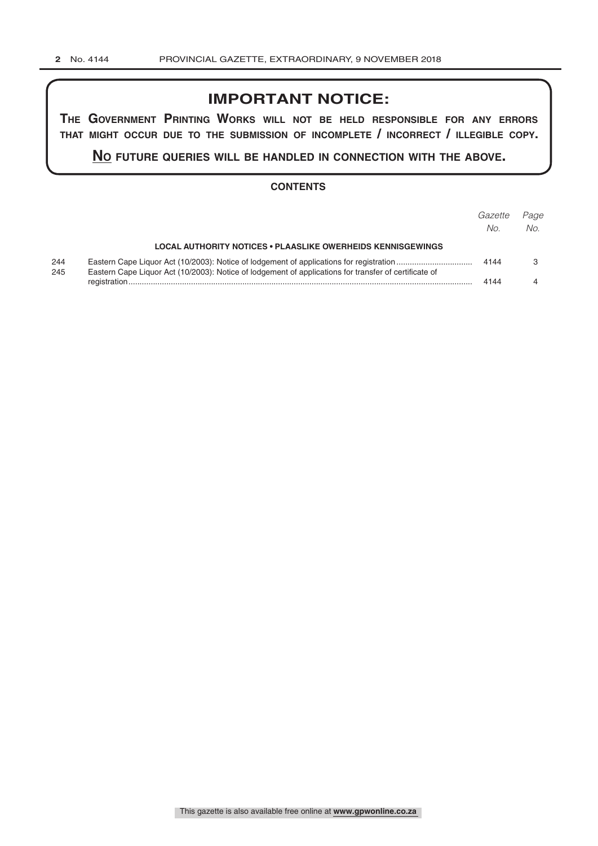# **IMPORTANT NOTICE:**

**The GovernmenT PrinTinG Works Will noT be held resPonsible for any errors ThaT miGhT occur due To The submission of incomPleTe / incorrecT / illeGible coPy.**

**no fuTure queries Will be handled in connecTion WiTh The above.**

## **CONTENTS**

|            |                                                                                                       | Gazette<br>No. | Page<br>No. |
|------------|-------------------------------------------------------------------------------------------------------|----------------|-------------|
|            | <b>LOCAL AUTHORITY NOTICES • PLAASLIKE OWERHEIDS KENNISGEWINGS</b>                                    |                |             |
| 244<br>245 | Eastern Cape Liquor Act (10/2003): Notice of lodgement of applications for transfer of certificate of | 4144           |             |
|            |                                                                                                       | 4144           |             |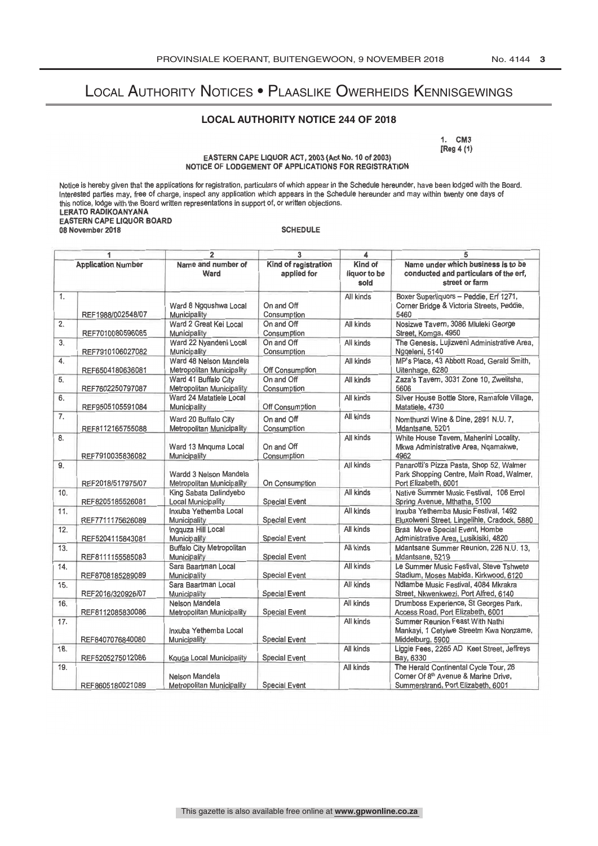# Local Authority Notices • Plaaslike Owerheids Kennisgewings

## **LOCAL AUTHORITY NOTICE 244 OF 2018**

 $1.$  CM3  $\ln$ aa 4 (1)

### EASTERN CAPE LIQUOR ACT, 2003 (Act No. 10 of 2003) NOTICE OF LODGEMENT OF APPLICATIONS FOR REGISTRATION

Notice is hereby given that the applications for registration, particulars of which appear in the Schedule hereunder, have been lodged with the Board. Interested parties may, free of charge, inspect any application which appears in the Schedule hereunder and may within twenty one days of<br>" this notice, lodge with the Board written representations in support of, or written objections. LERATO RADIKOANYANA EASTERN CAPE LIQUOR BOARD 08 November 2018 SCHEDULE

| 1                         |                   | $\overline{2}$                                             | $\overline{3}$                      | 4                               | 5                                                                                                                   |  |
|---------------------------|-------------------|------------------------------------------------------------|-------------------------------------|---------------------------------|---------------------------------------------------------------------------------------------------------------------|--|
| <b>Application Number</b> |                   | Name and number of<br>Ward                                 | Kind of registration<br>applied for | Kind of<br>liquor to be<br>sold | Name under which business is to be<br>conducted and particulars of the erf,<br>street or farm                       |  |
| 1.                        | REF1988/002548/07 | Ward 8 Ngqushwa Local<br>Municipality                      | On and Off<br>Consumption           | All kinds                       | Boxer Superliquors - Peddie, Erf 1271,<br>Corner Bridge & Victoria Streets, Peddie,<br>5460                         |  |
| 2.                        | REF7010080596085  | Ward 2 Great Kei Local<br>Municipality                     | On and Off<br>Consumption           | All kinds                       | Nosizwe Tavern, 3086 Mluleki George<br>Street, Komga, 4950                                                          |  |
| 3.                        | REF7910106027082  | Ward 22 Nyandeni Local<br>Municipality                     | On and Off<br><b>Consumption</b>    | All kinds                       | The Genesis, Lujizweni Administrative Area,<br>Nggeleni, 5140                                                       |  |
| 4.                        | REF6504180636081  | Ward 48 Nelson Mandela<br><b>Metropolitan Municipality</b> | Off Consumption                     | All kinds                       | MP's Place, 43 Abbott Road, Gerald Smith,<br>Uitenhage, 6280                                                        |  |
| 5.                        | REF7602250797087  | Ward 41 Buffalo City<br>Metropolitan Municipality          | On and Off<br>Consumption           | All kinds                       | Zaza's Tavern, 3031 Zone 10, Zwelitsha.<br>5606                                                                     |  |
| 6.                        | REF9505105591084  | Ward 24 Matatiele Local<br>Municipality                    | Off Consumption                     | All kinds                       | Silver House Bottle Store, Ramafole Village,<br>Matatiele, 4730                                                     |  |
| 7.                        | REF8112165755088  | Ward 20 Buffalo City<br><b>Metropolitan Municipality</b>   | On and Off<br>Consumption           | All kinds                       | Nomthunzi Wine & Dine, 2891 N.U. 7,<br>Mdantsane, 5201                                                              |  |
| 8.                        | REF7910035836082  | Ward 13 Mnquma Local<br>Municipality                       | On and Off<br>Consumption           | All kinds                       | White House Tavem, Mahenini Locality.<br>Mkwa Administrative Area, Ngamakwe,<br>4962                                |  |
| 9.                        | REF2018/517975/07 | Wardd 3 Nelson Mandela<br>Metropolitan Municipality        | On Consumption                      | All kinds                       | Panarotti's Pizza Pasta, Shop 52, Walmer<br>Park Shopping Centre, Main Road, Walmer,<br>Port Elizabeth, 6001        |  |
| 10.                       | REF8205185526081  | King Sabata Dalindyebo<br><b>Local Municipality</b>        | Special Event                       | All kinds                       | Native Summer Music Festival, 106 Errol<br>Spring Avenue, Mthatha, 5100                                             |  |
| 11.                       | REF7711175626089  | Inxuba Yethemba Local<br>Municipality                      | <b>Special Event</b>                | All kinds                       | Inxuba Yethemba Music Festival, 1492<br>Eluxolweni Street, Lingelihle, Cradock, 5880                                |  |
| 12.                       | REF5204115843081  | Ingquza Hill Local<br>Municipality                         | Special Event                       | All kinds                       | Braa Move Special Event, Hombe<br>Administrative Area, Lusikisiki, 4820                                             |  |
| 13.                       | REF8111155585083  | <b>Buffalo City Metropolitan</b><br>Municipality           | <b>Special Event</b>                | All kinds                       | Mdantsane Summer Reunion, 226 N.U. 13,<br>Mdantsane, 5219                                                           |  |
| 14.                       | REF8708185289089  | Sara Baartman Local<br>Municipality                        | <b>Special Event</b>                | All kinds                       | Le Summer Music Festival, Steve Tshwete<br>Stadium, Moses Mabida, Kirkwood, 6120                                    |  |
| 15.                       | REF2016/320926/07 | Sara Baartman Local<br>Municipality                        | <b>Special Event</b>                | All kinds                       | Ndlambe Music Festival, 4084 Mkrakra<br>Street, Nkwenkwezi, Port Alfred, 6140                                       |  |
| 16.                       | REF8112085830086  | Nelson Mandela<br><b>Metropolitan Municipality</b>         | <b>Special Event</b>                | All kinds                       | Drumboss Experience, St Georges Park,<br>Access Road, Port Elizabeth, 6001                                          |  |
| 17.                       | REF8407076840080  | Inxuba Yethemba Local<br>Municipality                      | <b>Special Event</b>                | All kinds                       | Summer Reunion Feast With Nathi<br>Mankayi, 1 Cetyiwe Streetm Kwa Nonzame,<br>Middelburg, 5900                      |  |
| 18.                       | REF5205275012086  | Kouga Local Municipality                                   | <b>Special Event</b>                | All kinds                       | Liggie Fees, 2265 AD Keet Street, Jeffreys<br>Bay, 6330                                                             |  |
| 19.                       | REF8605180021089  | Nelson Mandela<br><b>Metropolitan Municipality</b>         | Special Event                       | All kinds                       | The Herald Continental Cycle Tour, 26<br>Corner Of 8th Avenue & Marine Drive.<br>Summerstrand, Port Elizabeth, 6001 |  |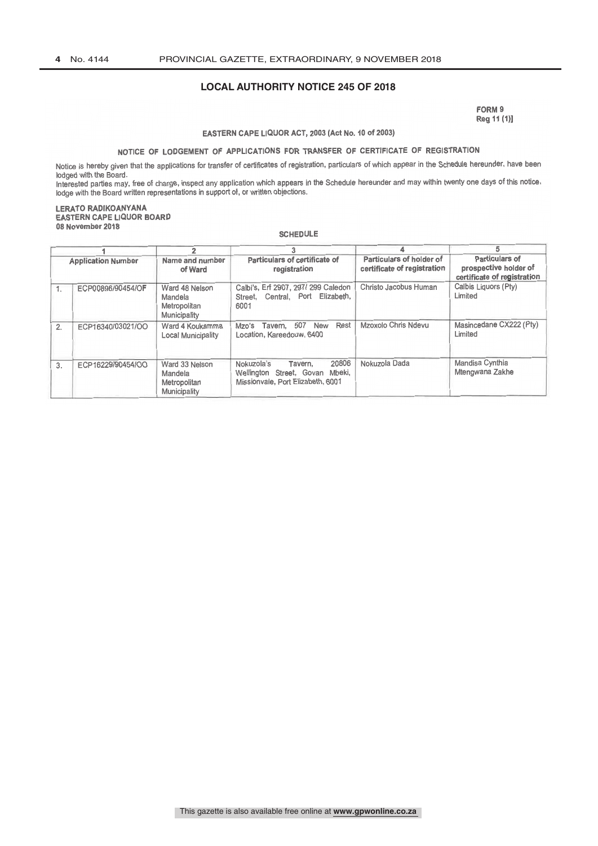## **LOCAL AUTHORITY NOTICE 245 OF 2018**

 $P_{0.01}$  44.6411  $\mathcal{L}^{\mathcal{L}}$ 

### EASTERN CAPE LIQUOR ACT, 2003 (Act No. 10 of 2003)

## NOTICE OF LODGEMENT OF APPLICATIONS FOR TRANSFER OF CERTIFICATE OF REGISTRATION

Notice is hereby given that the applications for transfer of certificates of registration, particulars of which appear in the Schedule hereunder, have been lodged with the Board.

Interested parties may, free of charge, inspect any application which appears in the Schedule hereunder and may within twenty one days of this notice, lodge with the Board written representations in support of, or written objections.

### LERATO RADIKOANYANA EASTERN CAPE LIQUOR BOARD 08 November 2018

SCHEDULE

| <b>Application Number</b> |                   |                                                           |                                                                                                        |                                                         |                                                                        |
|---------------------------|-------------------|-----------------------------------------------------------|--------------------------------------------------------------------------------------------------------|---------------------------------------------------------|------------------------------------------------------------------------|
|                           |                   | Name and number<br>of Ward                                | Particulars of certificate of<br>registration                                                          | Particulars of holder of<br>certificate of registration | Particulars of<br>prospective holder of<br>certificate of registration |
|                           | ECP00896/90454/OF | Ward 48 Nelson<br>Mandela<br>Metropolitan<br>Municipality | Calbi's, Erf 2907, 297/ 299 Caledon<br>Street, Central, Port Elizabeth,<br>6001                        | Christo Jacobus Human                                   | Calbis Liquors (Pty)<br>Limited                                        |
| 2.                        | FCP16340/03021/OO | Ward 4 Koukamma<br><b>Local Municipality</b>              | Rest<br>Tavem, 507<br>New<br>Mzo's<br>Location, Kareedouw, 6400                                        | Mzoxolo Chris Ndevu                                     | Masincedane CX222 (Pty)<br>Limited                                     |
| 3.                        | FCP16229/90454/OO | Ward 33 Nelson<br>Mandela<br>Metropolitan<br>Municipality | 20806<br>Nokuzola's<br>Tavern,<br>Wellington Street, Govan Mbeki,<br>Missionvale, Port Elizabeth, 6001 | Nokuzola Dada                                           | Mandisa Cynthia<br>Mtengwana Zakhe                                     |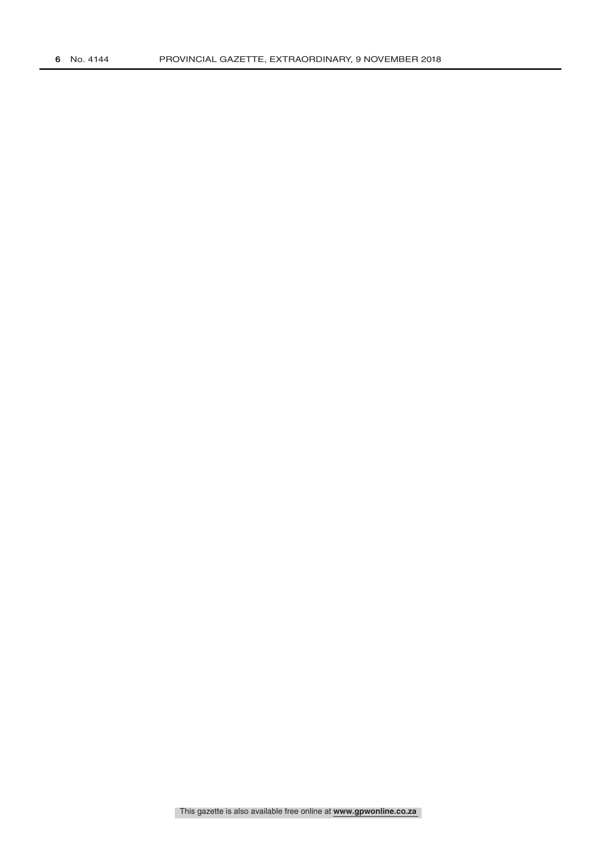This gazette is also available free online at **www.gpwonline.co.za**